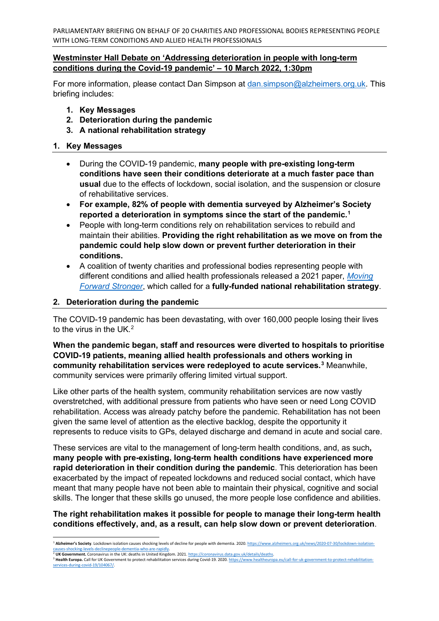PARLIAMENTARY BRIEFING ON BEHALF OF 20 CHARITIES AND PROFESSIONAL BODIES REPRESENTING PEOPLE WITH LONG-TERM CONDITIONS AND ALLIED HEALTH PROFESSIONALS

### **Westminster Hall Debate on 'Addressing deterioration in people with long-term conditions during the Covid-19 pandemic' – 10 March 2022, 1:30pm**

For more information, please contact Dan Simpson at [dan.simpson@alzheimers.org.uk.](mailto:dan.simpson@alzheimers.org.uk) This briefing includes:

- **1. Key Messages**
- **2. Deterioration during the pandemic**
- **3. A national rehabilitation strategy**

#### **1. Key Messages**

- During the COVID-19 pandemic, **many people with pre-existing long-term conditions have seen their conditions deteriorate at a much faster pace than usual** due to the effects of lockdown, social isolation, and the suspension or closure of rehabilitative services.
- **For example, 82% of people with dementia surveyed by Alzheimer's Society reported a deterioration in symptoms since the start of the pandemic.[1](#page-0-0)**
- People with long-term conditions rely on rehabilitation services to rebuild and maintain their abilities. **Providing the right rehabilitation as we move on from the pandemic could help slow down or prevent further deterioration in their conditions.**
- A coalition of twenty charities and professional bodies representing people with different conditions and allied health professionals released a 2021 paper, *[Moving](https://www.alzheimers.org.uk/sites/default/files/2021-06/moving-forward-stronger.pdf)  [Forward Stronger](https://www.alzheimers.org.uk/sites/default/files/2021-06/moving-forward-stronger.pdf)*, which called for a **fully-funded national rehabilitation strategy**.

#### **2. Deterioration during the pandemic**

The COVID-19 pandemic has been devastating, with over 160,000 people losing their lives to the virus in the UK.[2](#page-0-1)

**When the pandemic began, staff and resources were diverted to hospitals to prioritise COVID-19 patients, meaning allied health professionals and others working in community rehabilitation services were redeployed to acute services.[3](#page-0-2)** Meanwhile, community services were primarily offering limited virtual support.

Like other parts of the health system, community rehabilitation services are now vastly overstretched, with additional pressure from patients who have seen or need Long COVID rehabilitation. Access was already patchy before the pandemic. Rehabilitation has not been given the same level of attention as the elective backlog, despite the opportunity it represents to reduce visits to GPs, delayed discharge and demand in acute and social care.

These services are vital to the management of long-term health conditions, and, as such**, many people with pre-existing, long-term health conditions have experienced more rapid deterioration in their condition during the pandemic**. This deterioration has been exacerbated by the impact of repeated lockdowns and reduced social contact, which have meant that many people have not been able to maintain their physical, cognitive and social skills. The longer that these skills go unused, the more people lose confidence and abilities.

## **The right rehabilitation makes it possible for people to manage their long-term health conditions effectively, and, as a result, can help slow down or prevent deterioration**.

<span id="page-0-0"></span><sup>1</sup> **Alzheimer's Society**. Lockdown isolation causes shocking levels of decline for people with dementia. 2020[. https://www.alzheimers.org.uk/news/2020-07-30/lockdown-isolation](https://www.alzheimers.org.uk/news/2020-07-30/lockdown-isolation-causes-shocking-levels-declinepeople-dementia-who-are-rapidly)[causes-shocking-levels-declinepeople-dementia-who-are-rapidly.](https://www.alzheimers.org.uk/news/2020-07-30/lockdown-isolation-causes-shocking-levels-declinepeople-dementia-who-are-rapidly)<br><sup>2</sup> **UK Government. C**oronavirus in the UK: deaths in United Kingdom. 2021. <u>https://coronavirus.data.gov.uk/details/deaths</u>.

<span id="page-0-2"></span><span id="page-0-1"></span><sup>&</sup>lt;sup>3</sup> Health Europa. Call for UK Government to protect rehabilitation services during Covid-19. 2020[. https://www.healtheuropa.eu/call-for-uk-government-to-protect-rehabilitation](https://www.healtheuropa.eu/call-for-uk-government-to-protect-rehabilitation-services-during-covid-19/104067/)[services-during-covid-19/104067/.](https://www.healtheuropa.eu/call-for-uk-government-to-protect-rehabilitation-services-during-covid-19/104067/)